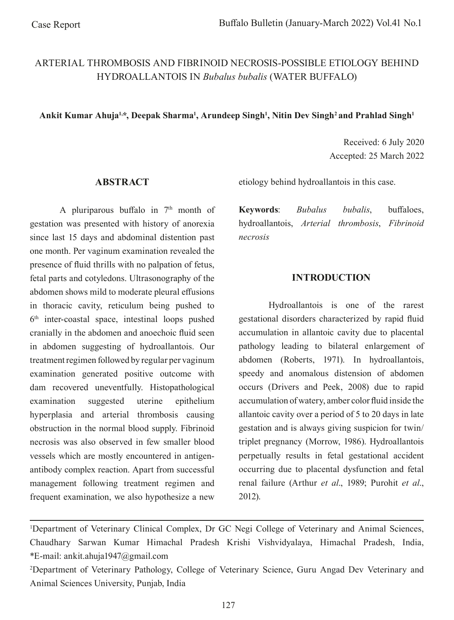# ARTERIAL THROMBOSIS AND FIBRINOID NECROSIS-POSSIBLE ETIOLOGY BEHIND HYDROALLANTOIS IN *Bubalus bubalis* (WATER BUFFALO)

### Ankit Kumar Ahuja<sup>1,</sup>\*, Deepak Sharma<sup>1</sup>, Arundeep Singh<sup>1</sup>, Nitin Dev Singh<sup>2</sup> and Prahlad Singh<sup>1</sup>

Received: 6 July 2020 Accepted: 25 March 2022

#### **ABSTRACT**

A pluriparous buffalo in  $7<sup>th</sup>$  month of gestation was presented with history of anorexia since last 15 days and abdominal distention past one month. Per vaginum examination revealed the presence of fuid thrills with no palpation of fetus, fetal parts and cotyledons. Ultrasonography of the abdomen shows mild to moderate pleural effusions in thoracic cavity, reticulum being pushed to 6th inter-coastal space, intestinal loops pushed cranially in the abdomen and anoechoic fuid seen in abdomen suggesting of hydroallantois. Our treatment regimen followed by regular per vaginum examination generated positive outcome with dam recovered uneventfully. Histopathological examination suggested uterine epithelium hyperplasia and arterial thrombosis causing obstruction in the normal blood supply. Fibrinoid necrosis was also observed in few smaller blood vessels which are mostly encountered in antigenantibody complex reaction. Apart from successful management following treatment regimen and frequent examination, we also hypothesize a new

etiology behind hydroallantois in this case.

**Keywords**: *Bubalus bubalis*, bufaloes, hydroallantois, *Arterial thrombosis*, *Fibrinoid necrosis*

### **INTRODUCTION**

Hydroallantois is one of the rarest gestational disorders characterized by rapid fuid accumulation in allantoic cavity due to placental pathology leading to bilateral enlargement of abdomen (Roberts, 1971). In hydroallantois, speedy and anomalous distension of abdomen occurs (Drivers and Peek, 2008) due to rapid accumulation of watery, amber color fuid inside the allantoic cavity over a period of 5 to 20 days in late gestation and is always giving suspicion for twin/ triplet pregnancy (Morrow, 1986). Hydroallantois perpetually results in fetal gestational accident occurring due to placental dysfunction and fetal renal failure (Arthur *et al*., 1989; Purohit *et al*., 2012).

<sup>&</sup>lt;sup>1</sup>Department of Veterinary Clinical Complex, Dr GC Negi College of Veterinary and Animal Sciences, Chaudhary Sarwan Kumar Himachal Pradesh Krishi Vishvidyalaya, Himachal Pradesh, India, \*E-mail: ankit.ahuja1947@gmail.com

<sup>2</sup> Department of Veterinary Pathology, College of Veterinary Science, Guru Angad Dev Veterinary and Animal Sciences University, Punjab, India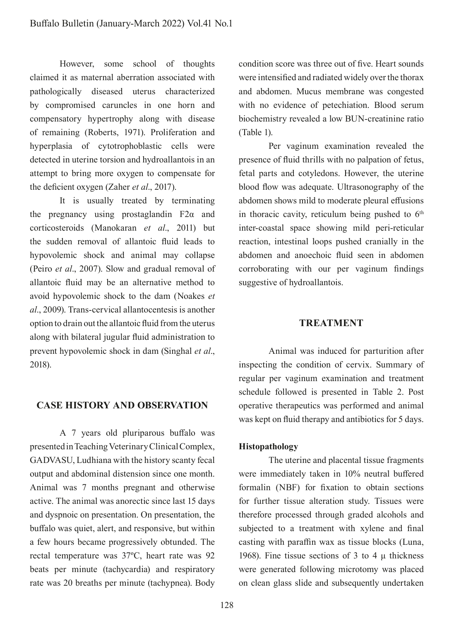However, some school of thoughts claimed it as maternal aberration associated with pathologically diseased uterus characterized by compromised caruncles in one horn and compensatory hypertrophy along with disease of remaining (Roberts, 1971). Proliferation and hyperplasia of cytotrophoblastic cells were detected in uterine torsion and hydroallantois in an attempt to bring more oxygen to compensate for the defcient oxygen (Zaher *et al*., 2017).

It is usually treated by terminating the pregnancy using prostaglandin  $F2\alpha$  and corticosteroids (Manokaran *et al*., 2011) but the sudden removal of allantoic fuid leads to hypovolemic shock and animal may collapse (Peiro *et al*., 2007). Slow and gradual removal of allantoic fuid may be an alternative method to avoid hypovolemic shock to the dam (Noakes *et al*., 2009). Trans-cervical allantocentesis is another option to drain out the allantoic fuid from the uterus along with bilateral jugular fuid administration to prevent hypovolemic shock in dam (Singhal *et al*., 2018).

# **CASE HISTORY AND OBSERVATION**

A 7 years old pluriparous bufalo was presented in Teaching Veterinary Clinical Complex, GADVASU, Ludhiana with the history scanty fecal output and abdominal distension since one month. Animal was 7 months pregnant and otherwise active. The animal was anorectic since last 15 days and dyspnoic on presentation. On presentation, the bufalo was quiet, alert, and responsive, but within a few hours became progressively obtunded. The rectal temperature was 37ºC, heart rate was 92 beats per minute (tachycardia) and respiratory rate was 20 breaths per minute (tachypnea). Body condition score was three out of fve. Heart sounds were intensifed and radiated widely over the thorax and abdomen. Mucus membrane was congested with no evidence of petechiation. Blood serum biochemistry revealed a low BUN-creatinine ratio (Table 1).

Per vaginum examination revealed the presence of fuid thrills with no palpation of fetus, fetal parts and cotyledons. However, the uterine blood flow was adequate. Ultrasonography of the abdomen shows mild to moderate pleural effusions in thoracic cavity, reticulum being pushed to  $6<sup>th</sup>$ inter-coastal space showing mild peri-reticular reaction, intestinal loops pushed cranially in the abdomen and anoechoic fuid seen in abdomen corroborating with our per vaginum fndings suggestive of hydroallantois.

### **TREATMENT**

Animal was induced for parturition after inspecting the condition of cervix. Summary of regular per vaginum examination and treatment schedule followed is presented in Table 2. Post operative therapeutics was performed and animal was kept on fuid therapy and antibiotics for 5 days.

#### **Histopathology**

The uterine and placental tissue fragments were immediately taken in 10% neutral bufered formalin (NBF) for fxation to obtain sections for further tissue alteration study. Tissues were therefore processed through graded alcohols and subjected to a treatment with xylene and fnal casting with paraffin wax as tissue blocks (Luna, 1968). Fine tissue sections of 3 to 4  $\mu$  thickness were generated following microtomy was placed on clean glass slide and subsequently undertaken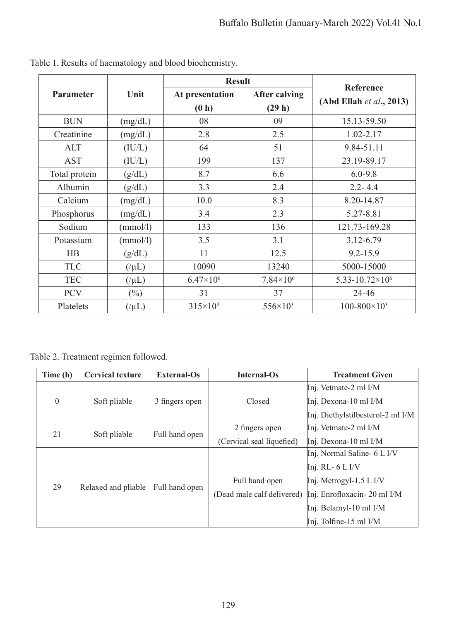|                  | Unit      | <b>Result</b>      |                      | <b>Reference</b>                    |  |
|------------------|-----------|--------------------|----------------------|-------------------------------------|--|
| <b>Parameter</b> |           | At presentation    | <b>After calving</b> | $(Abd$ Ellah et al., 2013)          |  |
|                  |           | (0 h)              | (29 h)               |                                     |  |
| <b>BUN</b>       | (mg/dL)   | 08                 | 09                   | 15.13-59.50                         |  |
| Creatinine       | (mg/dL)   | 2.8<br>2.5         |                      | 1.02-2.17                           |  |
| <b>ALT</b>       | (IU/L)    | 51<br>64           |                      | 9.84-51.11                          |  |
| <b>AST</b>       | (IU/L)    | 199                | 137                  | 23.19-89.17                         |  |
| Total protein    | (g/dL)    | 8.7                | 6.6                  | $6.0 - 9.8$                         |  |
| Albumin          | (g/dL)    | 3.3                | 2.4                  | $2.2 - 4.4$                         |  |
| Calcium          | (mg/dL)   | 10.0               | 8.3                  | 8.20-14.87                          |  |
| Phosphorus       | (mg/dL)   | 3.4                | 2.3                  | 5.27-8.81                           |  |
| Sodium           | (mmol/l)  | 133                | 136                  | 121.73-169.28                       |  |
| Potassium        | (mmol/l)  | 3.5                | 3.1                  | 3.12-6.79                           |  |
| HB               | (g/dL)    | 11                 | 12.5                 | $9.2 - 15.9$                        |  |
| <b>TLC</b>       | $(\mu L)$ | 10090              | 13240                | 5000-15000                          |  |
| <b>TEC</b>       | $(\mu L)$ | $6.47\times10^{6}$ | $7.84\times10^{6}$   | 5.33-10.72 $\times$ 10 <sup>6</sup> |  |
| <b>PCV</b>       | $(\%)$    |                    | 37                   | 24-46                               |  |
| Platelets        | $(\mu L)$ | $315\times10^3$    | $556 \times 10^3$    | $100 - 800 \times 10^3$             |  |

Table 1. Results of haematology and blood biochemistry.

Table 2. Treatment regimen followed.

| Time (h) | <b>Cervical texture</b> | <b>External-Os</b> | Internal-Os                | <b>Treatment Given</b>            |
|----------|-------------------------|--------------------|----------------------------|-----------------------------------|
|          |                         |                    |                            | Inj. Vetmate-2 ml I/M             |
| $\theta$ | Soft pliable            | 3 fingers open     | Closed                     | Inj. Dexona-10 ml I/M             |
|          |                         |                    |                            | Inj. Diethylstilbesterol-2 ml I/M |
| 21       | Soft pliable            | Full hand open     | 2 fingers open             | Inj. Vetmate-2 ml I/M             |
|          |                         |                    | (Cervical seal liquefied)  | Inj. Dexona-10 ml I/M             |
|          |                         |                    |                            | Inj. Normal Saline- 6 L I/V       |
| 29       | Relaxed and pliable     | Full hand open     |                            | Inj. RL- $6$ L I/V                |
|          |                         |                    | Full hand open             | Inj. Metrogyl-1.5 L I/V           |
|          |                         |                    | (Dead male calf delivered) | Inj. Enrofloxacin- 20 ml I/M      |
|          |                         |                    |                            | Inj. Belamyl-10 ml I/M            |
|          |                         |                    |                            | $Inj.$ Tolfine-15 ml I/M          |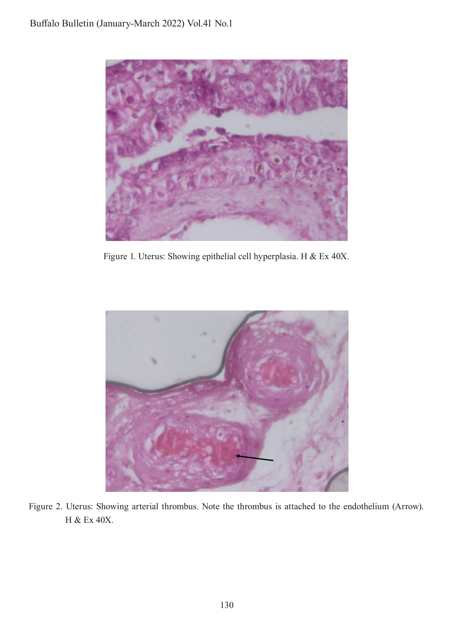

Figure 1. Uterus: Showing epithelial cell hyperplasia. H & Ex 40X.



Figure 2. Uterus: Showing arterial thrombus. Note the thrombus is attached to the endothelium (Arrow). H & Ex 40X.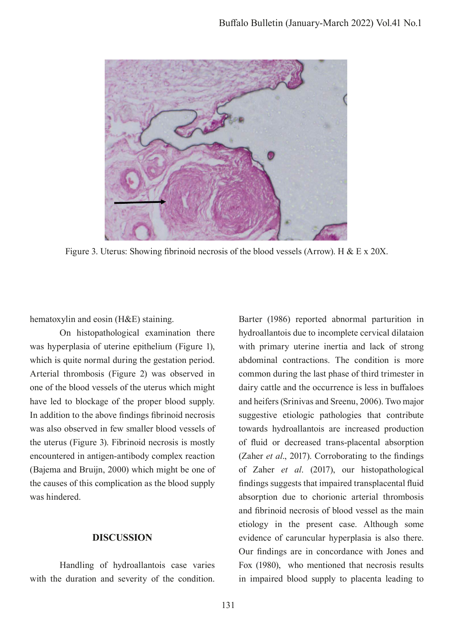

Figure 3. Uterus: Showing fibrinoid necrosis of the blood vessels (Arrow). H & E x 20X.

hematoxylin and eosin (H&E) staining.

On histopathological examination there was hyperplasia of uterine epithelium (Figure 1), which is quite normal during the gestation period. Arterial thrombosis (Figure 2) was observed in one of the blood vessels of the uterus which might have led to blockage of the proper blood supply. In addition to the above fndings fbrinoid necrosis was also observed in few smaller blood vessels of the uterus (Figure 3). Fibrinoid necrosis is mostly encountered in antigen-antibody complex reaction (Bajema and Bruijn, 2000) which might be one of the causes of this complication as the blood supply was hindered.

## **DISCUSSION**

Handling of hydroallantois case varies with the duration and severity of the condition.

Barter (1986) reported abnormal parturition in hydroallantois due to incomplete cervical dilataion with primary uterine inertia and lack of strong abdominal contractions. The condition is more common during the last phase of third trimester in dairy cattle and the occurrence is less in bufaloes and heifers (Srinivas and Sreenu, 2006). Two major suggestive etiologic pathologies that contribute towards hydroallantois are increased production of fuid or decreased trans-placental absorption (Zaher *et al*., 2017). Corroborating to the fndings of Zaher *et al*. (2017), our histopathological fndings suggests that impaired transplacental fuid absorption due to chorionic arterial thrombosis and fbrinoid necrosis of blood vessel as the main etiology in the present case. Although some evidence of caruncular hyperplasia is also there. Our fndings are in concordance with Jones and Fox (1980), who mentioned that necrosis results in impaired blood supply to placenta leading to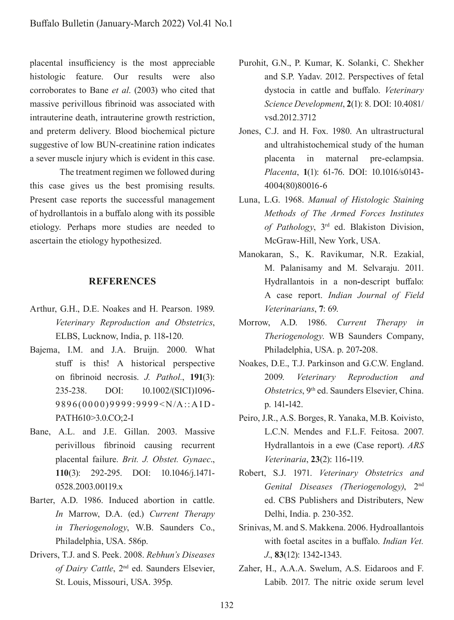placental insufficiency is the most appreciable histologic feature. Our results were also corroborates to Bane *et al*. (2003) who cited that massive perivillous fbrinoid was associated with intrauterine death, intrauterine growth restriction, and preterm delivery. Blood biochemical picture suggestive of low BUN-creatinine ration indicates a sever muscle injury which is evident in this case.

The treatment regimen we followed during this case gives us the best promising results. Present case reports the successful management of hydrollantois in a bufalo along with its possible etiology. Perhaps more studies are needed to ascertain the etiology hypothesized.

### **REFERENCES**

- Arthur, G.H., D.E. Noakes and H. Pearson. 1989. *Veterinary Reproduction and Obstetrics*, ELBS, Lucknow, India, p. 118**-**120.
- Bajema, I.M. and J.A. Bruijn. 2000. What stuf is this! A historical perspective on fbrinoid necrosis. *J. Pathol.*, **191**(3): 235-238. DOI: 10.1002/(SICI)1096- 9896(0000)9999:9999<N/A::AID-PATH610>3.0.CO;2-I
- Bane, A.L. and J.E. Gillan. 2003. Massive perivillous fbrinoid causing recurrent placental failure. *Brit. J. Obstet. Gynaec*., **110**(3): 292-295. DOI: 10.1046/j.1471- 0528.2003.00119.x
- Barter, A.D. 1986. Induced abortion in cattle. *In* Marrow, D.A. (ed.) *Current Therapy in Theriogenology*, W.B. Saunders Co., Philadelphia, USA. 586p.
- Drivers, T.J. and S. Peek. 2008. *Rebhun's Diseases of Dairy Cattle*, 2nd ed. Saunders Elsevier, St. Louis, Missouri, USA. 395p.
- Purohit, G.N., P. Kumar, K. Solanki, C. Shekher and S.P. Yadav. 2012. Perspectives of fetal dystocia in cattle and bufalo. *Veterinary Science Development*, **2**(1): 8. DOI: 10.4081/ vsd.2012.3712
- Jones, C.J. and H. Fox. 1980. An ultrastructural and ultrahistochemical study of the human placenta in maternal pre-eclampsia. *Placenta*, **1**(1): 61-76. DOI: 10.1016/s0143- 4004(80)80016-6
- Luna, L.G. 1968. *Manual of Histologic Staining Methods of The Armed Forces Institutes of Pathology*, 3rd ed. Blakiston Division, McGraw-Hill, New York, USA.
- Manokaran, S., K. Ravikumar, N.R. Ezakial, M. Palanisamy and M. Selvaraju. 2011. Hydrallantois in a non**-**descript bufalo: A case report. *Indian Journal of Field Veterinarians*, **7**: 69.
- Morrow, A.D. 1986. *Current Therapy in Theriogenology*. WB Saunders Company, Philadelphia, USA. p. 207**-**208.
- Noakes, D.E., T.J. Parkinson and G.C.W. England. 2009. *Veterinary Reproduction and Obstetrics*, 9th ed. Saunders Elsevier, China. p. 141**-**142.
- Peiro, J.R., A.S. Borges, R. Yanaka, M.B. Koivisto, L.C.N. Mendes and F.L.F. Feitosa. 2007. Hydrallantois in a ewe (Case report). *ARS Veterinaria*, **23**(2): 116**-**119.
- Robert, S.J. 1971. *Veterinary Obstetrics and Genital Diseases (Theriogenology)*, 2nd ed. CBS Publishers and Distributers, New Delhi, India. p. 230-352.
- Srinivas, M. and S. Makkena. 2006. Hydroallantois with foetal ascites in a bufalo. *Indian Vet. J*., **83**(12): 1342**-**1343.
- Zaher, H., A.A.A. Swelum, A.S. Eidaroos and F. Labib. 2017. The nitric oxide serum level